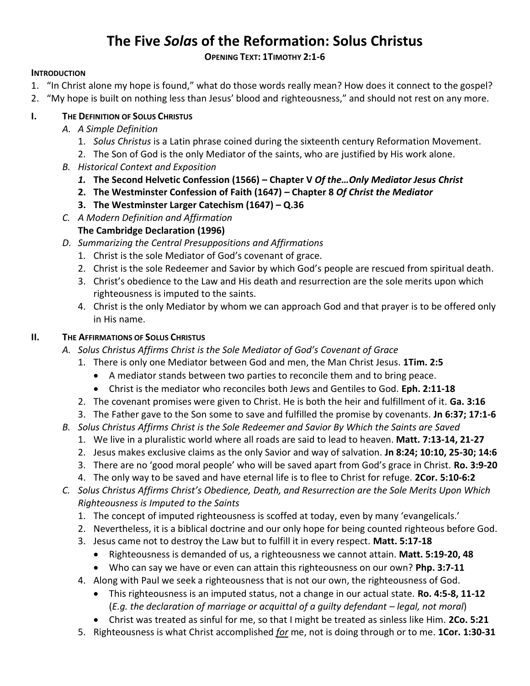# **The Five** *Sola***s of the Reformation: Solus Christus**

# **OPENING TEXT: 1TIMOTHY 2:1-6**

#### **INTRODUCTION**

- 1. "In Christ alone my hope is found," what do those words really mean? How does it connect to the gospel?
- 2. "My hope is built on nothing less than Jesus' blood and righteousness," and should not rest on any more.

# **I. THE DEFINITION OF SOLUS CHRISTUS**

- *A. A Simple Definition*
	- 1. *Solus Christus* is a Latin phrase coined during the sixteenth century Reformation Movement.
	- 2. The Son of God is the only Mediator of the saints, who are justified by His work alone.
- *B. Historical Context and Exposition*
	- *1.* **The Second Helvetic Confession (1566) – Chapter V** *Of the…Only Mediator Jesus Christ*
	- **2. The Westminster Confession of Faith (1647) – Chapter 8** *Of Christ the Mediator*
	- **3. The Westminster Larger Catechism (1647) – Q.36**
- *C. A Modern Definition and Affirmation*

# **The Cambridge Declaration (1996)**

- *D. Summarizing the Central Presuppositions and Affirmations*
	- 1. Christ is the sole Mediator of God's covenant of grace.
	- 2. Christ is the sole Redeemer and Savior by which God's people are rescued from spiritual death.
	- 3. Christ's obedience to the Law and His death and resurrection are the sole merits upon which righteousness is imputed to the saints.
	- 4. Christ is the only Mediator by whom we can approach God and that prayer is to be offered only in His name.

# **II. THE AFFIRMATIONS OF SOLUS CHRISTUS**

- *A. Solus Christus Affirms Christ is the Sole Mediator of God's Covenant of Grace*
	- 1. There is only one Mediator between God and men, the Man Christ Jesus. **1Tim. 2:5**
		- A mediator stands between two parties to reconcile them and to bring peace.
		- Christ is the mediator who reconciles both Jews and Gentiles to God. **Eph. 2:11-18**
	- 2. The covenant promises were given to Christ. He is both the heir and fulfillment of it. **Ga. 3:16**
	- 3. The Father gave to the Son some to save and fulfilled the promise by covenants. **Jn 6:37; 17:1-6**
- *B. Solus Christus Affirms Christ is the Sole Redeemer and Savior By Which the Saints are Saved*
	- 1. We live in a pluralistic world where all roads are said to lead to heaven. **Matt. 7:13-14, 21-27**
	- 2. Jesus makes exclusive claims as the only Savior and way of salvation. **Jn 8:24; 10:10, 25-30; 14:6**
	- 3. There are no 'good moral people' who will be saved apart from God's grace in Christ. **Ro. 3:9-20**
	- 4. The only way to be saved and have eternal life is to flee to Christ for refuge. **2Cor. 5:10-6:2**
- *C. Solus Christus Affirms Christ's Obedience, Death, and Resurrection are the Sole Merits Upon Which Righteousness is Imputed to the Saints*
	- 1. The concept of imputed righteousness is scoffed at today, even by many 'evangelicals.'
	- 2. Nevertheless, it is a biblical doctrine and our only hope for being counted righteous before God.
	- 3. Jesus came not to destroy the Law but to fulfill it in every respect. **Matt. 5:17-18**
		- Righteousness is demanded of us, a righteousness we cannot attain. **Matt. 5:19-20, 48**
		- Who can say we have or even can attain this righteousness on our own? **Php. 3:7-11**
	- 4. Along with Paul we seek a righteousness that is not our own, the righteousness of God.
		- This righteousness is an imputed status, not a change in our actual state. **Ro. 4:5-8, 11-12** (*E.g. the declaration of marriage or acquittal of a guilty defendant – legal, not moral*)
		- Christ was treated as sinful for me, so that I might be treated as sinless like Him. **2Co. 5:21**
	- 5. Righteousness is what Christ accomplished *for* me, not is doing through or to me. **1Cor. 1:30-31**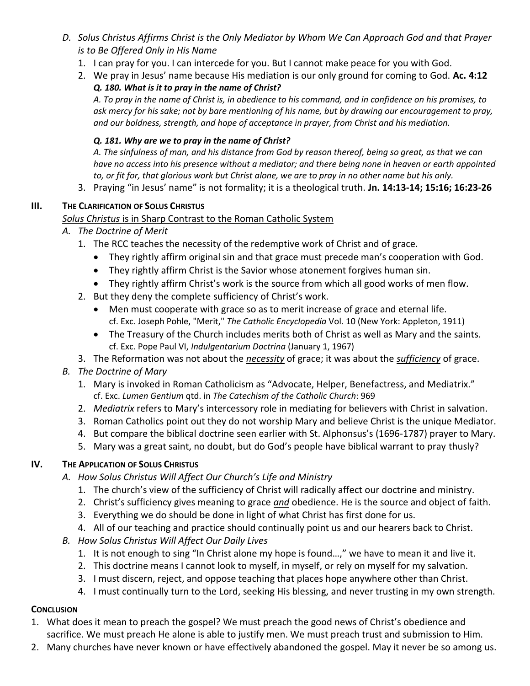- *D. Solus Christus Affirms Christ is the Only Mediator by Whom We Can Approach God and that Prayer is to Be Offered Only in His Name*
	- 1. I can pray for you. I can intercede for you. But I cannot make peace for you with God.
	- 2. We pray in Jesus' name because His mediation is our only ground for coming to God. **Ac. 4:12** *Q. 180. What is it to pray in the name of Christ?*

*A. To pray in the name of Christ is, in obedience to his command, and in confidence on his promises, to ask mercy for his sake; not by bare mentioning of his name, but by drawing our encouragement to pray, and our boldness, strength, and hope of acceptance in prayer, from Christ and his mediation.*

# *Q. 181. Why are we to pray in the name of Christ?*

*A. The sinfulness of man, and his distance from God by reason thereof, being so great, as that we can have no access into his presence without a mediator; and there being none in heaven or earth appointed to, or fit for, that glorious work but Christ alone, we are to pray in no other name but his only.*

3. Praying "in Jesus' name" is not formality; it is a theological truth. **Jn. 14:13-14; 15:16; 16:23-26**

# **III. THE CLARIFICATION OF SOLUS CHRISTUS**

# *Solus Christus* is in Sharp Contrast to the Roman Catholic System

- *A. The Doctrine of Merit*
	- 1. The RCC teaches the necessity of the redemptive work of Christ and of grace.
		- They rightly affirm original sin and that grace must precede man's cooperation with God.
		- They rightly affirm Christ is the Savior whose atonement forgives human sin.
		- They rightly affirm Christ's work is the source from which all good works of men flow.
	- 2. But they deny the complete sufficiency of Christ's work.
		- Men must cooperate with grace so as to merit increase of grace and eternal life. cf. Exc. Joseph Pohle, "Merit," *The Catholic Encyclopedia* Vol. 10 (New York: Appleton, 1911)
		- The Treasury of the Church includes merits both of Christ as well as Mary and the saints. cf. Exc. Pope Paul VI, *Indulgentarium Doctrina* (January 1, 1967)
	- 3. The Reformation was not about the *necessity* of grace; it was about the *sufficiency* of grace.
- *B. The Doctrine of Mary*
	- 1. Mary is invoked in Roman Catholicism as "Advocate, Helper, Benefactress, and Mediatrix." cf. Exc. *Lumen Gentium* qtd. in *The Catechism of the Catholic Church*: 969
	- 2. *Mediatrix* refers to Mary's intercessory role in mediating for believers with Christ in salvation.
	- 3. Roman Catholics point out they do not worship Mary and believe Christ is the unique Mediator.
	- 4. But compare the biblical doctrine seen earlier with St. Alphonsus's (1696-1787) prayer to Mary.
	- 5. Mary was a great saint, no doubt, but do God's people have biblical warrant to pray thusly?

# **IV. THE APPLICATION OF SOLUS CHRISTUS**

- *A. How Solus Christus Will Affect Our Church's Life and Ministry*
	- 1. The church's view of the sufficiency of Christ will radically affect our doctrine and ministry.
	- 2. Christ's sufficiency gives meaning to grace *and* obedience. He is the source and object of faith.
	- 3. Everything we do should be done in light of what Christ has first done for us.
	- 4. All of our teaching and practice should continually point us and our hearers back to Christ.
- *B. How Solus Christus Will Affect Our Daily Lives*
	- 1. It is not enough to sing "In Christ alone my hope is found…," we have to mean it and live it.
	- 2. This doctrine means I cannot look to myself, in myself, or rely on myself for my salvation.
	- 3. I must discern, reject, and oppose teaching that places hope anywhere other than Christ.
	- 4. I must continually turn to the Lord, seeking His blessing, and never trusting in my own strength.

# **CONCLUSION**

- 1. What does it mean to preach the gospel? We must preach the good news of Christ's obedience and sacrifice. We must preach He alone is able to justify men. We must preach trust and submission to Him.
- 2. Many churches have never known or have effectively abandoned the gospel. May it never be so among us.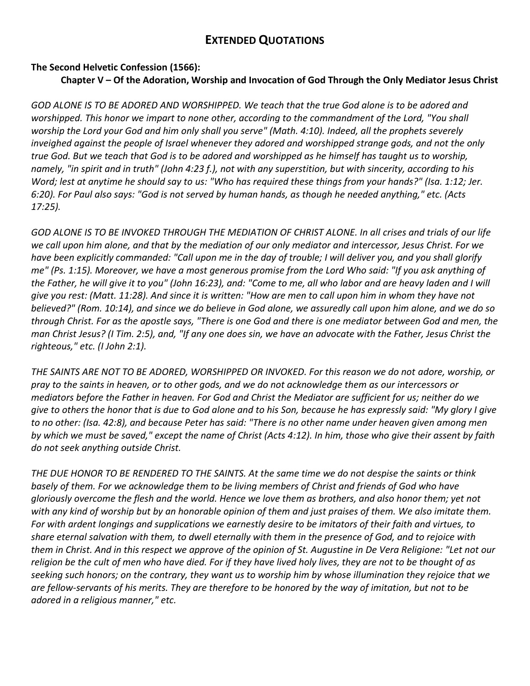# **EXTENDED QUOTATIONS**

#### **The Second Helvetic Confession (1566):**

#### **Chapter V – Of the Adoration, Worship and Invocation of God Through the Only Mediator Jesus Christ**

*GOD ALONE IS TO BE ADORED AND WORSHIPPED. We teach that the true God alone is to be adored and worshipped. This honor we impart to none other, according to the commandment of the Lord, "You shall worship the Lord your God and him only shall you serve" (Math. 4:10). Indeed, all the prophets severely inveighed against the people of Israel whenever they adored and worshipped strange gods, and not the only true God. But we teach that God is to be adored and worshipped as he himself has taught us to worship, namely, "in spirit and in truth" (John 4:23 f.), not with any superstition, but with sincerity, according to his Word; lest at anytime he should say to us: "Who has required these things from your hands?" (Isa. 1:12; Jer. 6:20). For Paul also says: "God is not served by human hands, as though he needed anything," etc. (Acts 17:25).*

*GOD ALONE IS TO BE INVOKED THROUGH THE MEDIATION OF CHRIST ALONE. In all crises and trials of our life we call upon him alone, and that by the mediation of our only mediator and intercessor, Jesus Christ. For we have been explicitly commanded: "Call upon me in the day of trouble; I will deliver you, and you shall glorify me" (Ps. 1:15). Moreover, we have a most generous promise from the Lord Who said: "If you ask anything of the Father, he will give it to you" (John 16:23), and: "Come to me, all who labor and are heavy laden and I will give you rest: (Matt. 11:28). And since it is written: "How are men to call upon him in whom they have not believed?" (Rom. 10:14), and since we do believe in God alone, we assuredly call upon him alone, and we do so through Christ. For as the apostle says, "There is one God and there is one mediator between God and men, the man Christ Jesus? (I Tim. 2:5), and, "If any one does sin, we have an advocate with the Father, Jesus Christ the righteous," etc. (I John 2:1).*

*THE SAINTS ARE NOT TO BE ADORED, WORSHIPPED OR INVOKED. For this reason we do not adore, worship, or pray to the saints in heaven, or to other gods, and we do not acknowledge them as our intercessors or mediators before the Father in heaven. For God and Christ the Mediator are sufficient for us; neither do we give to others the honor that is due to God alone and to his Son, because he has expressly said: "My glory I give to no other: (Isa. 42:8), and because Peter has said: "There is no other name under heaven given among men by which we must be saved," except the name of Christ (Acts 4:12). In him, those who give their assent by faith do not seek anything outside Christ.*

*THE DUE HONOR TO BE RENDERED TO THE SAINTS. At the same time we do not despise the saints or think basely of them. For we acknowledge them to be living members of Christ and friends of God who have gloriously overcome the flesh and the world. Hence we love them as brothers, and also honor them; yet not with any kind of worship but by an honorable opinion of them and just praises of them. We also imitate them. For with ardent longings and supplications we earnestly desire to be imitators of their faith and virtues, to share eternal salvation with them, to dwell eternally with them in the presence of God, and to rejoice with them in Christ. And in this respect we approve of the opinion of St. Augustine in De Vera Religione: "Let not our religion be the cult of men who have died. For if they have lived holy lives, they are not to be thought of as seeking such honors; on the contrary, they want us to worship him by whose illumination they rejoice that we are fellow-servants of his merits. They are therefore to be honored by the way of imitation, but not to be adored in a religious manner," etc.*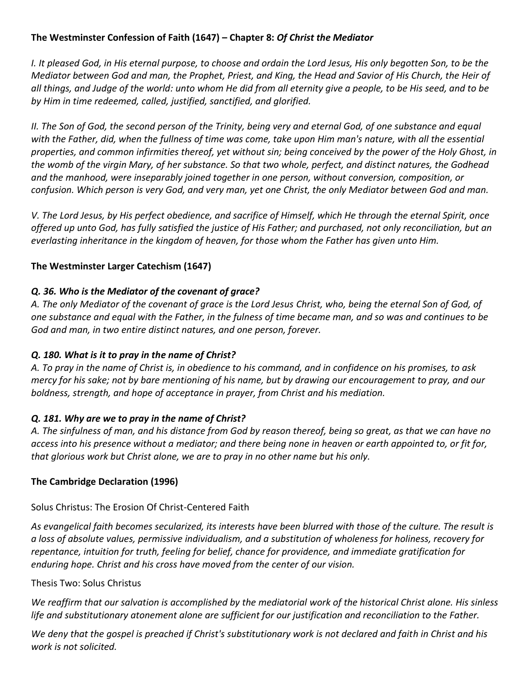# **The Westminster Confession of Faith (1647) – Chapter 8:** *Of Christ the Mediator*

*I. It pleased God, in His eternal purpose, to choose and ordain the Lord Jesus, His only begotten Son, to be the Mediator between God and man, the Prophet, Priest, and King, the Head and Savior of His Church, the Heir of all things, and Judge of the world: unto whom He did from all eternity give a people, to be His seed, and to be by Him in time redeemed, called, justified, sanctified, and glorified.*

*II. The Son of God, the second person of the Trinity, being very and eternal God, of one substance and equal* with the Father, did, when the fullness of time was come, take upon Him man's nature, with all the essential *properties, and common infirmities thereof, yet without sin; being conceived by the power of the Holy Ghost, in the womb of the virgin Mary, of her substance. So that two whole, perfect, and distinct natures, the Godhead and the manhood, were inseparably joined together in one person, without conversion, composition, or confusion. Which person is very God, and very man, yet one Christ, the only Mediator between God and man.*

*V. The Lord Jesus, by His perfect obedience, and sacrifice of Himself, which He through the eternal Spirit, once offered up unto God, has fully satisfied the justice of His Father; and purchased, not only reconciliation, but an everlasting inheritance in the kingdom of heaven, for those whom the Father has given unto Him.*

# **The Westminster Larger Catechism (1647)**

# *Q. 36. Who is the Mediator of the covenant of grace?*

*A. The only Mediator of the covenant of grace is the Lord Jesus Christ, who, being the eternal Son of God, of one substance and equal with the Father, in the fulness of time became man, and so was and continues to be God and man, in two entire distinct natures, and one person, forever.*

# *Q. 180. What is it to pray in the name of Christ?*

*A. To pray in the name of Christ is, in obedience to his command, and in confidence on his promises, to ask mercy for his sake; not by bare mentioning of his name, but by drawing our encouragement to pray, and our boldness, strength, and hope of acceptance in prayer, from Christ and his mediation.*

# *Q. 181. Why are we to pray in the name of Christ?*

*A. The sinfulness of man, and his distance from God by reason thereof, being so great, as that we can have no access into his presence without a mediator; and there being none in heaven or earth appointed to, or fit for, that glorious work but Christ alone, we are to pray in no other name but his only.*

# **The Cambridge Declaration (1996)**

# Solus Christus: The Erosion Of Christ-Centered Faith

*As evangelical faith becomes secularized, its interests have been blurred with those of the culture. The result is a loss of absolute values, permissive individualism, and a substitution of wholeness for holiness, recovery for repentance, intuition for truth, feeling for belief, chance for providence, and immediate gratification for enduring hope. Christ and his cross have moved from the center of our vision.*

# Thesis Two: Solus Christus

*We reaffirm that our salvation is accomplished by the mediatorial work of the historical Christ alone. His sinless life and substitutionary atonement alone are sufficient for our justification and reconciliation to the Father.*

*We deny that the gospel is preached if Christ's substitutionary work is not declared and faith in Christ and his work is not solicited.*